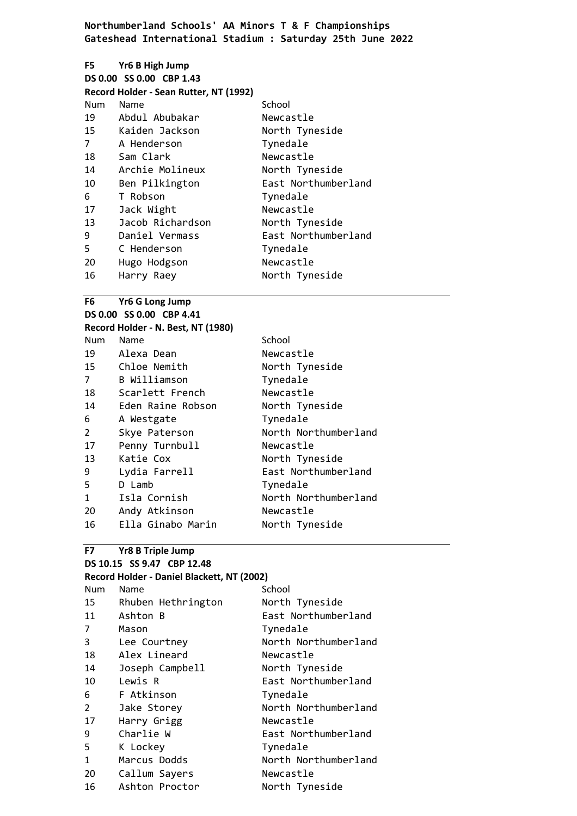| F5 —           | Yr6 B High Jump                        |                     |
|----------------|----------------------------------------|---------------------|
|                | DS 0.00 SS 0.00 CBP 1.43               |                     |
|                | Record Holder - Sean Rutter, NT (1992) |                     |
| Num            | Name                                   | School              |
| 19             | Abdul Abubakar                         | Newcastle           |
|                | 15 Kaiden Jackson                      | North Tyneside      |
| $\overline{7}$ | A Henderson                            | Tynedale            |
| 18             | Sam Clark                              | Newcastle           |
| 14             | Archie Molineux                        | North Tyneside      |
| 10             | Ben Pilkington                         | East Northumberland |
| 6              | T Robson                               | Tynedale            |
| 17             | Jack Wight                             | Newcastle           |
| 13             | Jacob Richardson                       | North Tyneside      |
| 9              | Daniel Vermass                         | East Northumberland |
| 5              | C Henderson                            | Tynedale            |
| 20             | Hugo Hodgson                           | Newcastle           |
| 16             | Harry Raey                             | North Tyneside      |

### **F6 Yr6 G Long Jump**

**DS 0.00 SS 0.00 CBP 4.41 Record Holder - N. Best, NT (1980)** Num Name School 19 Alexa Dean Newcastle Chloe Nemith North Tyneside B Williamson Tynedale Scarlett French Newcastle Eden Raine Robson North Tyneside A Westgate Tynedale 2 Skye Paterson North Northumberland Penny Turnbull Newcastle 13 Katie Cox North Tyneside Lydia Farrell East Northumberland D Lamb Tynedale 1 Isla Cornish North Northumberland Andy Atkinson Newcastle 16 Ella Ginabo Marin North Tyneside

### **F7 Yr8 B Triple Jump**

## **DS 10.15 SS 9.47 CBP 12.48**

| Record Holder - Daniel Blackett, NT (2002) |                    |                      |
|--------------------------------------------|--------------------|----------------------|
| Num                                        | Name               | School               |
| 15                                         | Rhuben Hethrington | North Tyneside       |
| 11                                         | Ashton B           | East Northumberland  |
| 7                                          | Mason              | Tynedale             |
| 3                                          | Lee Courtney       | North Northumberland |
| 18                                         | Alex Lineard       | Newcastle            |
| 14                                         | Joseph Campbell    | North Tyneside       |
| 10                                         | Lewis R            | East Northumberland  |
| 6                                          | F Atkinson         | Tynedale             |
| 2                                          | Jake Storey        | North Northumberland |
| 17                                         | Harry Grigg        | Newcastle            |
| 9                                          | Charlie W          | East Northumberland  |
| 5                                          | K Lockey           | Tynedale             |
| $\mathbf{1}$                               | Marcus Dodds       | North Northumberland |
| 20                                         | Callum Sayers      | Newcastle            |
| 16                                         | Ashton Proctor     | North Tyneside       |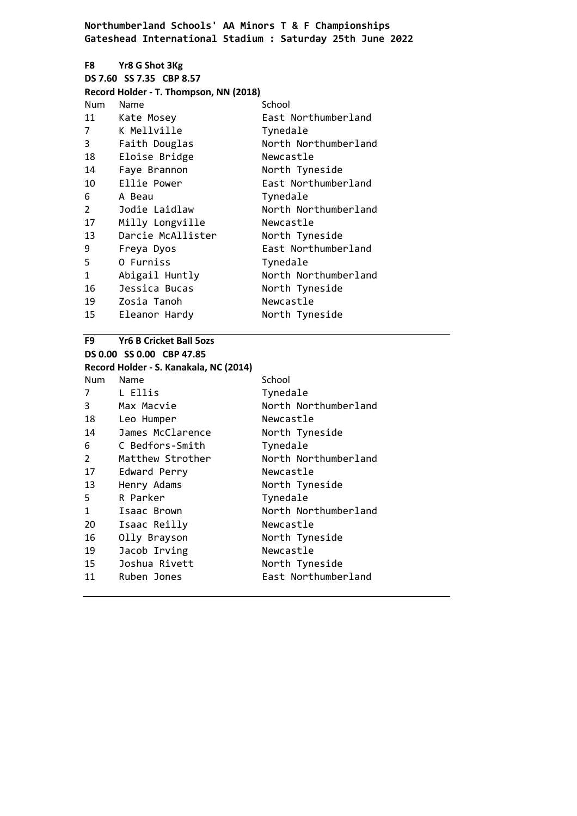|                         | F8 Yr8 G Shot 3Kg                      |                      |
|-------------------------|----------------------------------------|----------------------|
|                         | DS 7.60 SS 7.35 CBP 8.57               |                      |
|                         | Record Holder - T. Thompson, NN (2018) |                      |
| Num                     | Name                                   | School               |
| 11                      | Kate Mosey                             | East Northumberland  |
| 7                       | K Mellville                            | Tynedale             |
| $\overline{\mathbf{3}}$ | Faith Douglas                          | North Northumberland |
| 18                      | Eloise Bridge                          | Newcastle            |
| 14                      | Faye Brannon                           | North Tyneside       |
| 10                      | Ellie Power                            | East Northumberland  |
| 6                       | A Beau                                 | Tynedale             |
| $\overline{2}$          | Jodie Laidlaw                          | North Northumberland |
| 17                      | Milly Longville                        | Newcastle            |
| 13                      | Darcie McAllister                      | North Tyneside       |
| 9                       | Freya Dyos                             | East Northumberland  |
| 5                       | O Furniss                              | Tynedale             |
| 1                       | Abigail Huntly                         | North Northumberland |
| 16                      | Jessica Bucas                          | North Tyneside       |
| 19                      | Zosia Tanoh                            | Newcastle            |
| 15                      | Eleanor Hardy                          | North Tyneside       |

**F9 Yr6 B Cricket Ball 5ozs DS 0.00 SS 0.00 CBP 47.85 Record Holder - S. Kanakala, NC (2014)** Num Name School 7 L Ellis Tynedale 3 Max Macvie North Northumberland 18 Leo Humper Newcastle 14 James McClarence North Tyneside 6 C Bedfors-Smith Tynedale 2 Matthew Strother North Northumberland 17 Edward Perry Newcastle 13 Henry Adams North Tyneside 5 R Parker Tynedale 1 Isaac Brown North Northumberland 20 Isaac Reilly Newcastle 16 Olly Brayson North Tyneside 19 Jacob Irving Newcastle 15 Joshua Rivett North Tyneside 11 Ruben Jones East Northumberland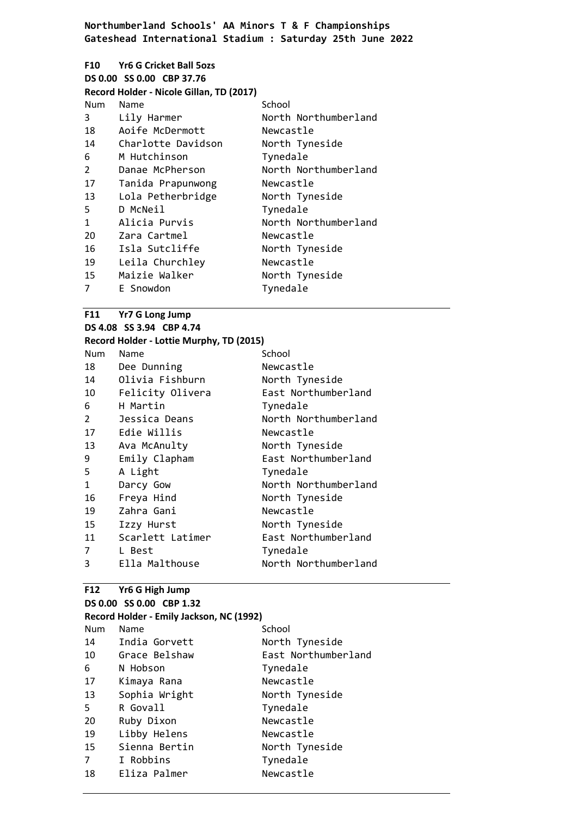|                | F10 Yr6 G Cricket Ball 50zs              |                      |
|----------------|------------------------------------------|----------------------|
|                | DS 0.00 SS 0.00 CBP 37.76                |                      |
|                | Record Holder - Nicole Gillan, TD (2017) |                      |
| Num            | Name                                     | School               |
| 3              | Lily Harmer                              | North Northumberland |
| 18             | Aoife McDermott                          | Newcastle            |
| 14             | Charlotte Davidson                       | North Tyneside       |
| 6              | M Hutchinson                             | Tynedale             |
| $\overline{2}$ | Danae McPherson                          | North Northumberland |
| 17             | Tanida Prapunwong                        | Newcastle            |
| 13             | Lola Petherbridge                        | North Tyneside       |
| 5              | D McNeil                                 | Tynedale             |
| 1              | Alicia Purvis                            | North Northumberland |
| 20             | Zara Cartmel                             | Newcastle            |
| 16             | Isla Sutcliffe                           | North Tyneside       |
| 19             | Leila Churchley                          | Newcastle            |
| 15             | Maizie Walker                            | North Tyneside       |
| 7              | E Snowdon                                | Tynedale             |

|               | F11 Yr7 G Long Jump                      |                      |
|---------------|------------------------------------------|----------------------|
|               | DS 4.08 SS 3.94 CBP 4.74                 |                      |
|               | Record Holder - Lottie Murphy, TD (2015) |                      |
| Num           | Name                                     | School               |
| 18            | Dee Dunning                              | Newcastle            |
| 14            | Olivia Fishburn                          | North Tyneside       |
| 10            | Felicity Olivera                         | East Northumberland  |
| 6             | H Martin                                 | Tynedale             |
| $\mathcal{P}$ | Jessica Deans                            | North Northumberland |
| 17            | Edie Willis                              | Newcastle            |
| 13            | Ava McAnulty                             | North Tyneside       |
| 9             | Emily Clapham                            | East Northumberland  |
| 5             | A Light                                  | Tynedale             |
| 1             | Darcy Gow                                | North Northumberland |
| 16            | Freya Hind                               | North Tyneside       |
| 19            | Zahra Gani                               | Newcastle            |
| 15            | Izzy Hurst                               | North Tyneside       |
| 11            | Scarlett Latimer                         | East Northumberland  |
| 7             | L Best                                   | Tynedale             |
| 3             | Ella Malthouse                           | North Northumberland |

# **F12 Yr6 G High Jump**

| DS 0.00 SS 0.00 CBP 1.32 |  |
|--------------------------|--|
|--------------------------|--|

| Record Holder - Emily Jackson, NC (1992) |               |                     |
|------------------------------------------|---------------|---------------------|
| Num                                      | Name          | School              |
| 14                                       | India Gorvett | North Tyneside      |
| 10                                       | Grace Belshaw | East Northumberland |
| 6                                        | N Hobson      | Tynedale            |
| 17                                       | Kimaya Rana   | Newcastle           |
| 13                                       | Sophia Wright | North Tyneside      |
| 5.                                       | R Govall      | Tynedale            |
| 20                                       | Ruby Dixon    | Newcastle           |
| 19                                       | Libby Helens  | Newcastle           |
| 15                                       | Sienna Bertin | North Tyneside      |
| $\overline{7}$                           | I Robbins     | Tynedale            |
| 18                                       | Eliza Palmer  | Newcastle           |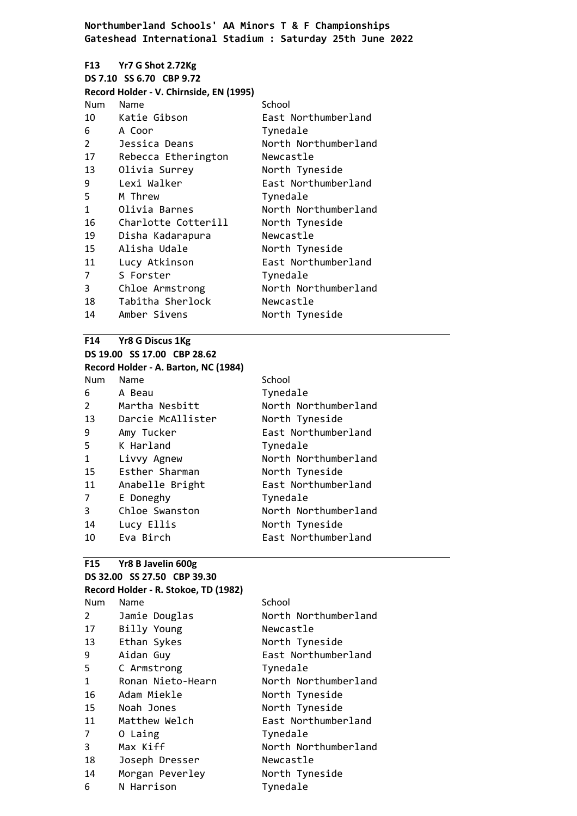|                | F13 Yr7 G Shot 2.72Kg<br>DS 7.10 SS 6.70 CBP 9.72 |                      |
|----------------|---------------------------------------------------|----------------------|
|                | Record Holder - V. Chirnside, EN (1995)           |                      |
| Num            | Name                                              | School               |
| 10             | Katie Gibson                                      | East Northumberland  |
| 6              | A Coor                                            | Tynedale             |
| $\overline{2}$ | Jessica Deans                                     | North Northumberland |
| 17             | Rebecca Etherington                               | Newcastle            |
| 13             | Olivia Surrey                                     | North Tyneside       |
| 9              | Lexi Walker                                       | East Northumberland  |
| 5              | M Threw                                           | Tynedale             |
| $\mathbf{1}$   | Olivia Barnes                                     | North Northumberland |
| 16             | Charlotte Cotterill                               | North Tyneside       |
| 19             | Disha Kadarapura                                  | Newcastle            |
| 15             | Alisha Udale                                      | North Tyneside       |
| 11             | Lucy Atkinson                                     | East Northumberland  |
| 7              | S Forster                                         | Tynedale             |
| 3              | Chloe Armstrong                                   | North Northumberland |
| 18             | Tabitha Sherlock                                  | Newcastle            |
| 14             | Amber Sivens                                      | North Tyneside       |

## **F14 Yr8 G Discus 1Kg DS 19.00 SS 17.00 CBP 28.62**

|                | Record Holder - A. Barton, NC (1984) |                      |
|----------------|--------------------------------------|----------------------|
| <b>Num</b>     | Name                                 | School               |
| 6              | A Beau                               | Tynedale             |
| $\overline{2}$ | Martha Nesbitt                       | North Northumberland |
| 13             | Darcie McAllister                    | North Tyneside       |
| 9              | Amy Tucker                           | East Northumberland  |
| 5              | K Harland                            | Tynedale             |
| $\mathbf{1}$   | Livvy Agnew                          | North Northumberland |
| 15             | Esther Sharman                       | North Tyneside       |
| 11             | Anabelle Bright                      | East Northumberland  |
| 7              | E Doneghy                            | Tynedale             |
| 3              | Chloe Swanston                       | North Northumberland |
| 14             | Lucy Ellis                           | North Tyneside       |
| 10             | Eva Birch                            | East Northumberland  |

# **F15 Yr8 B Javelin 600g**

|              | DS 32.00 SS 27.50 CBP 39.30          |                      |
|--------------|--------------------------------------|----------------------|
|              | Record Holder - R. Stokoe, TD (1982) |                      |
| Num          | Name                                 | School               |
| $\mathbf{2}$ | Jamie Douglas                        | North Northumberland |
| 17           | Billy Young                          | Newcastle            |
| 13           | Ethan Sykes                          | North Tyneside       |
| 9            | Aidan Guy                            | East Northumberland  |
| 5            | C Armstrong                          | Tynedale             |
| $\mathbf{1}$ | Ronan Nieto-Hearn                    | North Northumberland |
| 16           | Adam Miekle                          | North Tyneside       |
| 15           | Noah Jones                           | North Tyneside       |
| 11           | Matthew Welch                        | East Northumberland  |
| 7            | O Laing                              | Tynedale             |
| 3            | Max Kiff                             | North Northumberland |
| 18           | Joseph Dresser                       | Newcastle            |
| 14           | Morgan Peverley                      | North Tyneside       |
| 6            | N Harrison                           | Tynedale             |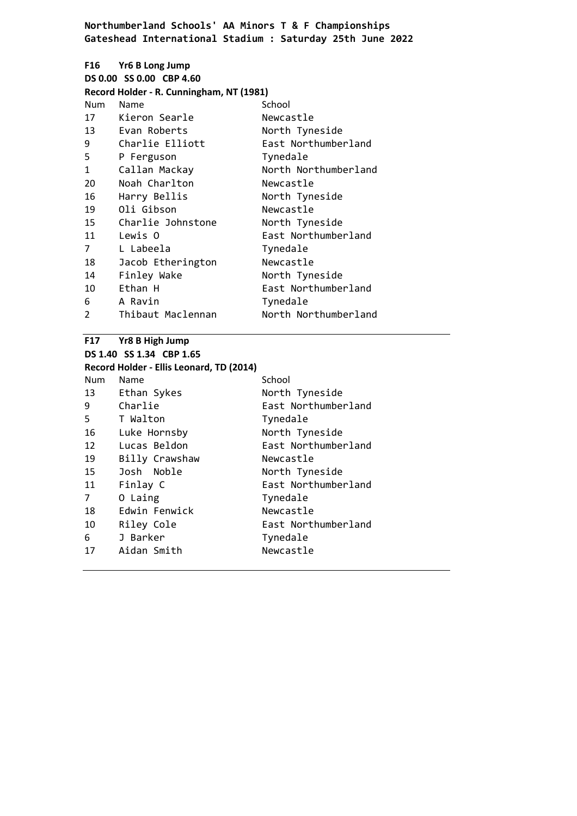|     | F16 Yr6 B Long Jump<br>DS 0.00 SS 0.00 CBP 4.60<br>Record Holder - R. Cunningham, NT (1981) |                      |
|-----|---------------------------------------------------------------------------------------------|----------------------|
| Num | Name                                                                                        | School               |
| 17  | Kieron Searle                                                                               | Newcastle            |
| 13  | Evan Roberts                                                                                | North Tyneside       |
| 9   | Charlie Elliott                                                                             | East Northumberland  |
| 5   | P Ferguson                                                                                  | Tynedale             |
| 1   | Callan Mackay                                                                               | North Northumberland |
| 20  | Noah Charlton                                                                               | Newcastle            |
| 16  | Harry Bellis                                                                                | North Tyneside       |
| 19  | Oli Gibson                                                                                  | Newcastle            |
| 15  | Charlie Johnstone                                                                           | North Tyneside       |
| 11  | Lewis O                                                                                     | East Northumberland  |
| 7   | L Labeela                                                                                   | Tynedale             |
| 18  | Jacob Etherington                                                                           | Newcastle            |
| 14  | Finley Wake                                                                                 | North Tyneside       |
| 10  | Ethan H                                                                                     | East Northumberland  |
| 6   | A Ravin                                                                                     | Tynedale             |
| 2   | Thibaut Maclennan                                                                           | North Northumberland |

#### **F17 Yr8 B High Jump**

| F17                      | Yr8 B High Jump                          |                     |  |  |
|--------------------------|------------------------------------------|---------------------|--|--|
| DS 1.40 SS 1.34 CBP 1.65 |                                          |                     |  |  |
|                          | Record Holder - Ellis Leonard, TD (2014) |                     |  |  |
| Num                      | Name                                     | School              |  |  |
| 13                       | Ethan Sykes                              | North Tyneside      |  |  |
| 9                        | Charlie                                  | East Northumberland |  |  |
| 5.                       | T Walton                                 | Tynedale            |  |  |
| 16                       | Luke Hornsby                             | North Tyneside      |  |  |
| 12                       | Lucas Beldon                             | East Northumberland |  |  |
| 19                       | Billy Crawshaw                           | Newcastle           |  |  |
| 15                       | Josh Noble                               | North Tyneside      |  |  |
| 11                       | Finlay C                                 | East Northumberland |  |  |
| $\overline{7}$           | O Laing                                  | Tynedale            |  |  |
| 18                       | Edwin Fenwick                            | Newcastle           |  |  |
| 10                       | Riley Cole                               | East Northumberland |  |  |
| 6                        | J Barker                                 | Tynedale            |  |  |
| 17                       | Aidan Smith                              | Newcastle           |  |  |
|                          |                                          |                     |  |  |
|                          |                                          |                     |  |  |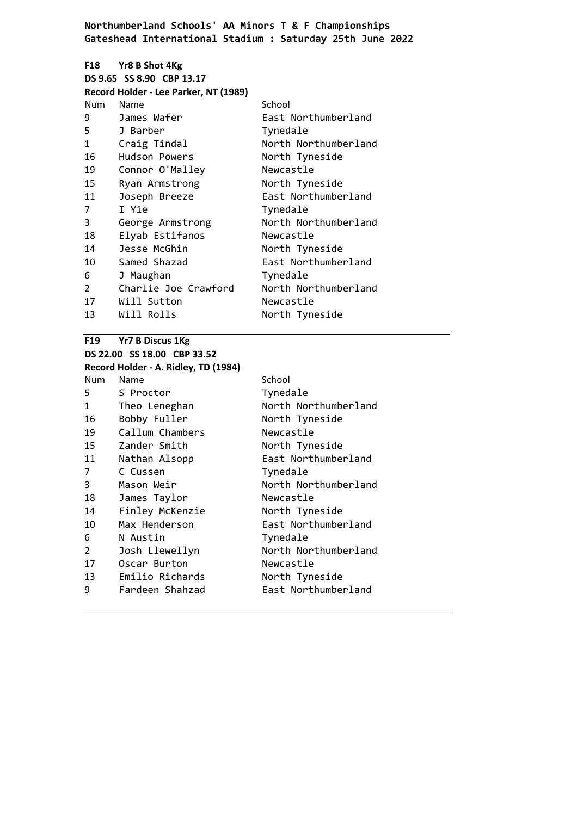|               | F18 Yr8 B Shot 4Kg                    |                      |
|---------------|---------------------------------------|----------------------|
|               | DS 9.65 SS 8.90 CBP 13.17             |                      |
|               | Record Holder - Lee Parker, NT (1989) |                      |
| <b>Num</b>    | Name                                  | School               |
| 9             | James Wafer                           | East Northumberland  |
| 5             | J Barber                              | Tynedale             |
| 1             | Craig Tindal                          | North Northumberland |
| 16            | Hudson Powers                         | North Tyneside       |
| 19            | Connor O'Malley                       | Newcastle            |
| 15            | Ryan Armstrong                        | North Tyneside       |
| 11            | Joseph Breeze                         | East Northumberland  |
| 7             | I Yie                                 | Tynedale             |
| 3             | George Armstrong                      | North Northumberland |
| 18            | Elyab Estifanos                       | Newcastle            |
| 14            | Jesse McGhin                          | North Tyneside       |
| 10            | Samed Shazad                          | East Northumberland  |
| 6             | J Maughan                             | Tynedale             |
| $\mathcal{P}$ | Charlie Joe Crawford                  | North Northumberland |
| 17            | Will Sutton                           | Newcastle            |
| 13            | Will Rolls                            | North Tyneside       |
|               |                                       |                      |

# **F19 Yr7 B Discus 1Kg DS 22.00 SS 18.00 CBP 33.52**

|               | Record Holder - A. Ridley, TD (1984) |                      |
|---------------|--------------------------------------|----------------------|
| Num           | Name                                 | School               |
| 5.            | S Proctor                            | Tynedale             |
| 1             | Theo Leneghan                        | North Northumberland |
| 16            | Bobby Fuller                         | North Tyneside       |
| 19            | Callum Chambers                      | Newcastle            |
| 15            | Zander Smith                         | North Tyneside       |
| 11            | Nathan Alsopp                        | East Northumberland  |
| 7             | C Cussen                             | Tynedale             |
| 3             | Mason Weir                           | North Northumberland |
| 18            | James Taylor                         | Newcastle            |
| 14            | Finley McKenzie                      | North Tyneside       |
| 10            | Max Henderson                        | East Northumberland  |
| 6             | N Austin                             | Tynedale             |
| $\mathcal{P}$ | Josh Llewellyn                       | North Northumberland |
| 17            | Oscar Burton                         | Newcastle            |
| 13            | Emilio Richards                      | North Tyneside       |
| 9             | Fardeen Shahzad                      | East Northumberland  |
|               |                                      |                      |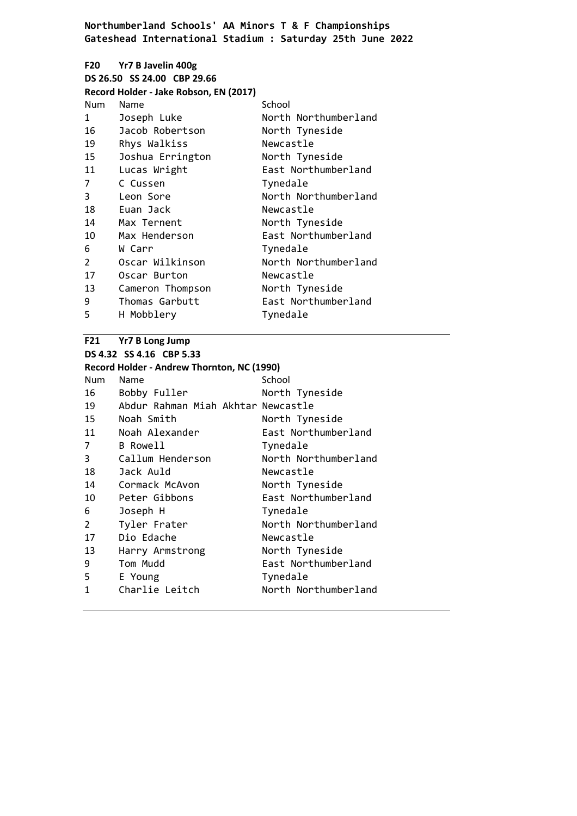## **F20 Yr7 B Javelin 400g DS 26.50 SS 24.00 CBP 29.66 Record Holder - Jake Robson, EN (2017)** Num Name School 1 Joseph Luke North Northumberland Jacob Robertson North Tyneside Rhys Walkiss Newcastle Joshua Errington North Tyneside Lucas Wright East Northumberland C Cussen Tynedale 3 Leon Sore North Northumberland Euan Jack Newcastle 14 Max Ternent North Tyneside Max Henderson East Northumberland W Carr Tynedale 2 Oscar Wilkinson North Northumberland 17 Oscar Burton Newcastle Cameron Thompson North Tyneside Thomas Garbutt East Northumberland H Mobblery Tynedale

### **F21 Yr7 B Long Jump**

**DS 4.32 SS 4.16 CBP 5.33**

## **Record Holder - Andrew Thornton, NC (1990)**

| Num            | Name                               | School               |
|----------------|------------------------------------|----------------------|
| 16             | Bobby Fuller                       | North Tyneside       |
| 19             | Abdur Rahman Miah Akhtar Newcastle |                      |
| 15             | Noah Smith                         | North Tyneside       |
| 11             | Noah Alexander                     | East Northumberland  |
| 7              | B Rowell                           | Tynedale             |
| 3              | Callum Henderson                   | North Northumberland |
| 18             | Jack Auld                          | Newcastle            |
| 14             | Cormack McAvon                     | North Tyneside       |
| 10             | Peter Gibbons                      | East Northumberland  |
| 6              | Joseph H                           | Tynedale             |
| $\overline{2}$ | Tyler Frater                       | North Northumberland |
| 17             | Dio Edache                         | Newcastle            |
| 13             | Harry Armstrong                    | North Tyneside       |
| 9              | Tom Mudd                           | East Northumberland  |
| 5              | E Young                            | Tynedale             |
| 1              | Charlie Leitch                     | North Northumberland |
|                |                                    |                      |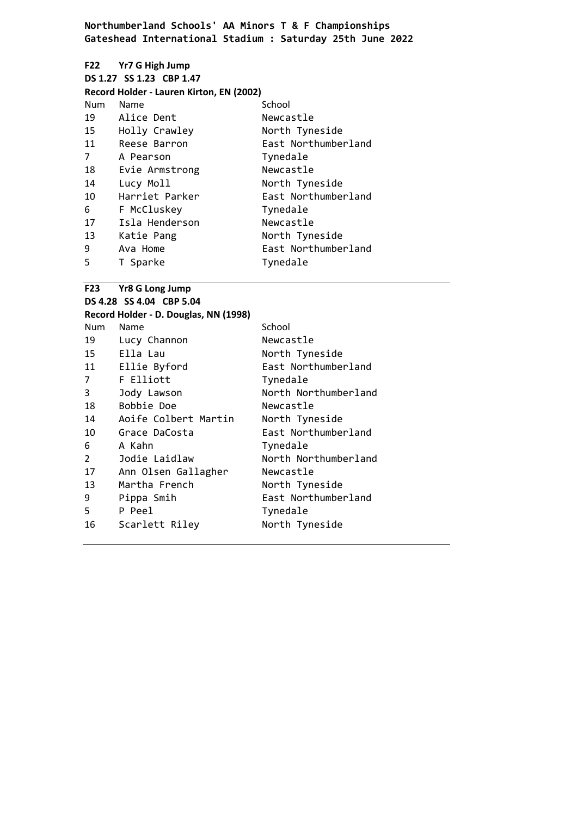# **F22 Yr7 G High Jump**

| DS 1.27 SS 1.23 CBP 1.47 |  |
|--------------------------|--|
|--------------------------|--|

|      | Record Holder - Lauren Kirton, EN (2002) |    |
|------|------------------------------------------|----|
| Num. | <b>Namo</b>                              | c. |

| Num | Name           | School              |
|-----|----------------|---------------------|
| 19  | Alice Dent     | Newcastle           |
| 15  | Holly Crawley  | North Tyneside      |
| 11  | Reese Barron   | East Northumberland |
| 7   | A Pearson      | Tynedale            |
| 18  | Evie Armstrong | Newcastle           |
| 14  | Lucy Moll      | North Tyneside      |
| 10  | Harriet Parker | East Northumberland |
| 6   | F McCluskey    | Tynedale            |
| 17  | Isla Henderson | Newcastle           |
| 13  | Katie Pang     | North Tyneside      |
| 9   | Ava Home       | East Northumberland |
| 5   | T Sparke       | Tynedale            |

# **F23 Yr8 G Long Jump**

|                          | $123 - 1100$ LUIS JUIND               |                      |
|--------------------------|---------------------------------------|----------------------|
| DS 4.28 SS 4.04 CBP 5.04 |                                       |                      |
|                          | Record Holder - D. Douglas, NN (1998) |                      |
| <b>Num</b>               | Name                                  | School               |
| 19                       | Lucy Channon                          | Newcastle            |
| 15                       | Ella Lau                              | North Tyneside       |
| 11                       | Ellie Byford                          | East Northumberland  |
| 7                        | F Elliott                             | Tynedale             |
| 3                        | Jody Lawson                           | North Northumberland |
| 18                       | Bobbie Doe                            | Newcastle            |
| 14                       | Aoife Colbert Martin                  | North Tyneside       |
| 10                       | Grace DaCosta                         | East Northumberland  |
| 6                        | A Kahn                                | Tynedale             |
| 2                        | Jodie Laidlaw                         | North Northumberland |
| 17                       | Ann Olsen Gallagher                   | Newcastle            |
| 13                       | Martha French                         | North Tyneside       |
| 9                        | Pippa Smih                            | East Northumberland  |
| 5.                       | P Peel                                | Tynedale             |
| 16                       | Scarlett Riley                        | North Tyneside       |
|                          |                                       |                      |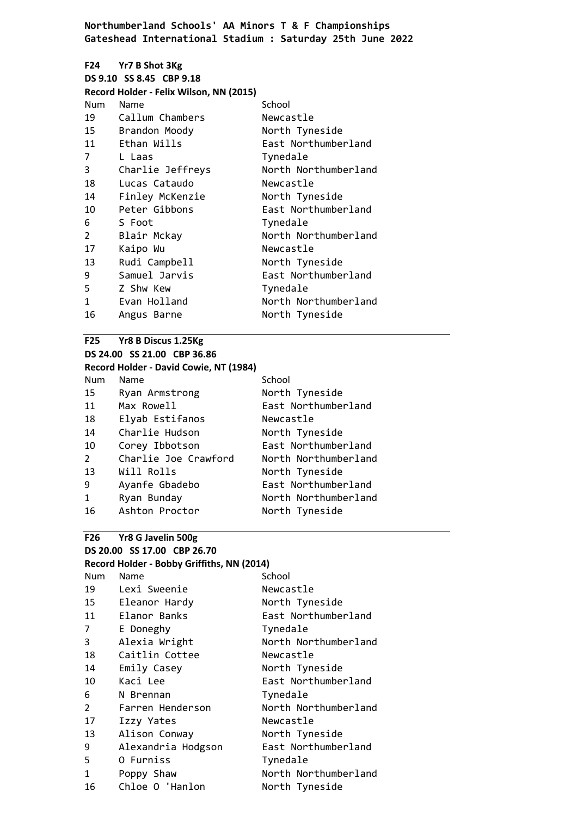| F24 <b>Page</b> | <b>Yr7 B Shot 3Kg</b><br>DS 9.10 SS 8.45 CBP 9.18<br>Record Holder - Felix Wilson, NN (2015) |                      |
|-----------------|----------------------------------------------------------------------------------------------|----------------------|
| Num             | Name                                                                                         | School               |
| 19              | Callum Chambers                                                                              | Newcastle            |
|                 | 15 Brandon Moody                                                                             | North Tyneside       |
| 11              | Ethan Wills                                                                                  | East Northumberland  |
| 7               | L Laas                                                                                       | Tynedale             |
| 3               | Charlie Jeffreys                                                                             | North Northumberland |
| 18              | Lucas Cataudo                                                                                | Newcastle            |
| 14              | Finley McKenzie                                                                              | North Tyneside       |
| 10              | Peter Gibbons                                                                                | East Northumberland  |
| 6               | S Foot                                                                                       | Tynedale             |
| $\overline{2}$  | Blair Mckay                                                                                  | North Northumberland |
| 17              | Kaipo Wu                                                                                     | Newcastle            |
| 13              | Rudi Campbell                                                                                | North Tyneside       |
| 9               | Samuel Jarvis                                                                                | East Northumberland  |
| 5               | Z Shw Kew                                                                                    | Tynedale             |
| 1               | Evan Holland                                                                                 | North Northumberland |
| 16              | Angus Barne                                                                                  | North Tyneside       |

## **F25 Yr8 B Discus 1.25Kg DS 24.00 SS 21.00 CBP 36.86**

# **Record Holder - David Cowie, NT (1984)**

| Name                 | School               |
|----------------------|----------------------|
| Ryan Armstrong       | North Tyneside       |
| Max Rowell           | East Northumberland  |
| Elyab Estifanos      | Newcastle            |
| Charlie Hudson       | North Tyneside       |
| Corey Ibbotson       | East Northumberland  |
| Charlie Joe Crawford | North Northumberland |
| Will Rolls           | North Tyneside       |
| Ayanfe Gbadebo       | East Northumberland  |
| Ryan Bunday          | North Northumberland |
| Ashton Proctor       | North Tyneside       |
|                      |                      |

## **F26 Yr8 G Javelin 500g DS 20.00 SS 17.00 CBP 26.70**

## **Record Holder - Bobby Griffiths, NN (2014)**

| <b>Num</b>   | Name               | School               |
|--------------|--------------------|----------------------|
| 19           | Lexi Sweenie       | Newcastle            |
| 15           | Eleanor Hardy      | North Tyneside       |
| 11           | Elanor Banks       | East Northumberland  |
| 7            | E Doneghy          | Tynedale             |
| 3            | Alexia Wright      | North Northumberland |
| 18           | Caitlin Cottee     | Newcastle            |
| 14           | Emily Casey        | North Tyneside       |
| 10           | Kaci Lee           | East Northumberland  |
| 6            | N Brennan          | Tynedale             |
| 2            | Farren Henderson   | North Northumberland |
| 17           | Izzy Yates         | Newcastle            |
| 13           | Alison Conway      | North Tyneside       |
| 9            | Alexandria Hodgson | East Northumberland  |
| 5            | O Furniss          | Tynedale             |
| $\mathbf{1}$ | Poppy Shaw         | North Northumberland |
| 16           | Chloe O 'Hanlon    | North Tyneside       |
|              |                    |                      |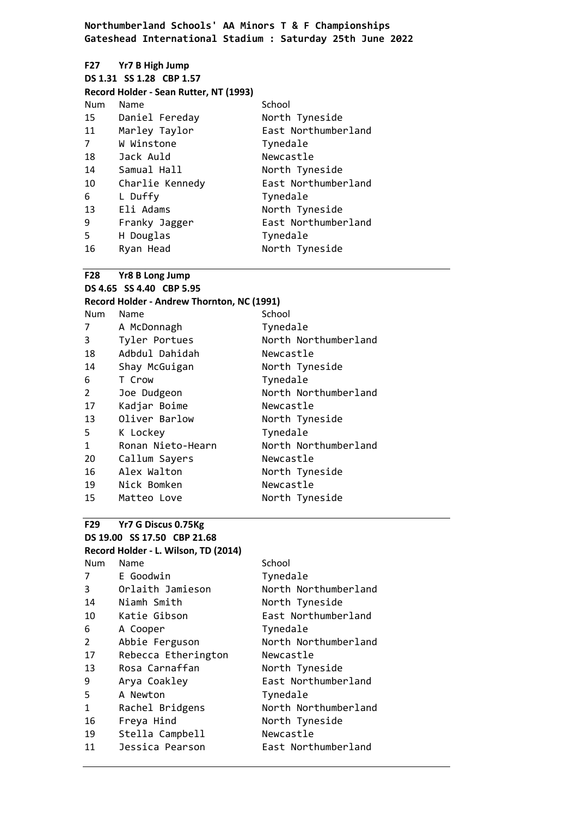## **F27 Yr7 B High Jump DS 1.31 SS 1.28 CBP 1.57 Record Holder - Sean Rutter, NT (1993)** Num Name School Daniel Fereday North Tyneside Marley Taylor East Northumberland W Winstone Tynedale Jack Auld Newcastle 14 Samual Hall North Tyneside Charlie Kennedy East Northumberland L Duffy Tynedale 13 Eli Adams North Tyneside Franky Jagger East Northumberland H Douglas Tynedale 16 Ryan Head North Tyneside

#### **F28 Yr8 B Long Jump**

| DS 4.65 SS 4.40 CBP 5.95 |                                            |                      |
|--------------------------|--------------------------------------------|----------------------|
|                          | Record Holder - Andrew Thornton, NC (1991) |                      |
| <b>Num</b>               | Name                                       | School               |
| 7                        | A McDonnagh                                | Tynedale             |
| 3                        | Tyler Portues                              | North Northumberland |
| 18                       | Adbdul Dahidah                             | Newcastle            |
| 14                       | Shay McGuigan                              | North Tyneside       |
| 6                        | T Crow                                     | Tynedale             |
| $\overline{2}$           | Joe Dudgeon                                | North Northumberland |
| 17                       | Kadjar Boime                               | Newcastle            |
| 13                       | Oliver Barlow                              | North Tyneside       |
| 5.                       | K Lockey                                   | Tynedale             |
| 1                        | Ronan Nieto-Hearn                          | North Northumberland |
| 20                       | Callum Sayers                              | Newcastle            |
| 16                       | Alex Walton                                | North Tyneside       |
| 19                       | Nick Bomken                                | Newcastle            |
| 15                       | Matteo Love                                | North Tyneside       |

## **F29 Yr7 G Discus 0.75Kg DS 19.00 SS 17.50 CBP 21.68 Record Holder - L. Wilson, TD (2014)**

| Num | Name                | School               |
|-----|---------------------|----------------------|
| 7   | E Goodwin           | Tynedale             |
| 3   | Orlaith Jamieson    | North Northumberland |
| 14  | Niamh Smith         | North Tyneside       |
| 10  | Katie Gibson        | East Northumberland  |
| 6   | A Cooper            | Tynedale             |
| 2   | Abbie Ferguson      | North Northumberland |
| 17  | Rebecca Etherington | Newcastle            |
| 13  | Rosa Carnaffan      | North Tyneside       |
| 9   | Arya Coakley        | East Northumberland  |
| 5   | A Newton            | Tynedale             |
| 1   | Rachel Bridgens     | North Northumberland |
| 16  | Freya Hind          | North Tyneside       |
| 19  | Stella Campbell     | Newcastle            |
| 11  | Jessica Pearson     | East Northumberland  |